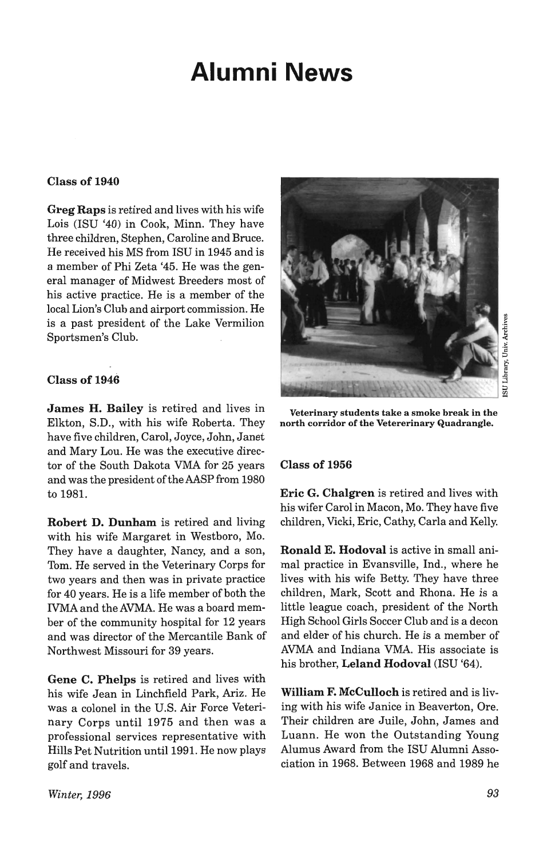# **Alumni News**

## Class of 1940

Greg Raps is retired and lives with his wife Lois (ISU '40) in Cook, Minn. They have three children, Stephen, Caroline and Bruce. He received his MS from ISU in 1945 and is a member of Phi Zeta '45. He was the general manager of Midwest Breeders most of his active practice. He is a member of the local Lion's Club and airport commission. He is a past president of the Lake Vermilion Sportsmen's Club.

## Class of 1946

James H. Bailey is retired and lives in Elkton, S.D., with his wife Roberta. They have five children, Carol, Joyce, John, Janet and Mary Lou. He was the executive director of the South Dakota VMA for 25 years and was the president of the AASP from 1980 to 1981.

Robert D. Dunham is retired and living with his wife Margaret in Westboro, Mo. They have a daughter, Nancy, and a son, Tom. He served in the Veterinary Corps for two years and then was in private practice for 40 years. He is a life member of both the IVMA and the AVMA. He was a board member of the community hospital for 12 years and was director of the Mercantile Bank of Northwest Missouri for 39 years.

Gene C. Phelps is retired and lives with his wife Jean in Linchfield Park, Ariz. He was a colonel in the U.S. Air Force Veterinary Corps until 1975 and then was a professional services representative with Hills Pet Nutrition until 1991. He now plays golf and travels.



Veterinary students take a smoke break in the north corridor of the Vetererinary Quadrangle.

## Class of 1956

Eric G. Chalgren is retired and lives with his wifer Carol in Macon, Mo. They have five children, Vicki, Eric, Cathy, Carla and Kelly.

Ronald E. Hodoval is active in small animal practice in Evansville, Ind., where he lives with his wife Betty. They have three children, Mark, Scott and Rhona. He is a little league coach, president of the North High School Girls Soccer Club and is a decon and elder of his church. He is a member of AVMA and Indiana VMA. His associate is his brother, Leland Hodoval (lSU '64).

William F. McCulloch is retired and is living with his wife Janice in Beaverton, Ore. Their children are Juile, John, James and Luann. He won the Outstanding Young Alumus Award from the ISU Alumni Association in 1968. Between 1968 and 1989 he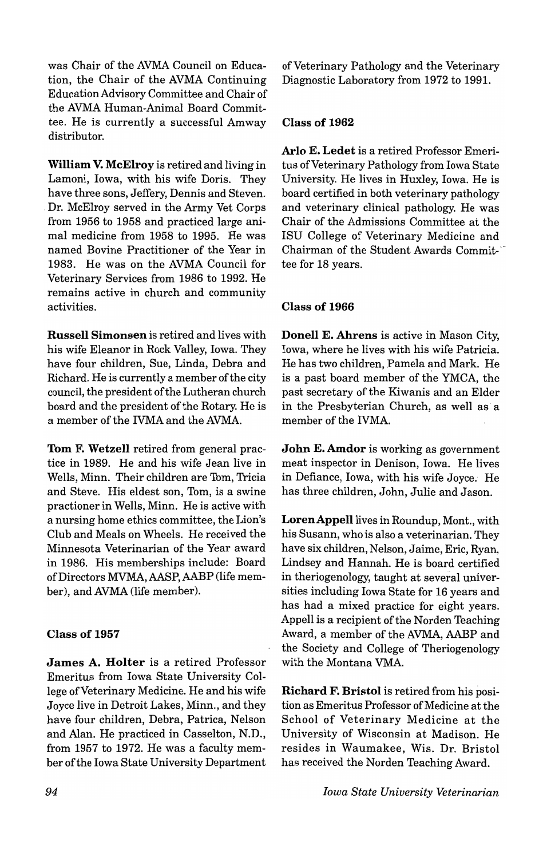was Chair of the AVMA Council on Education, the Chair of the AVMA Continuing Education Advisory Committee and Chair of the AVMA Human-Animal Board Committee. He is currently a successful Amway distributor.

**William V. McElroy** is retired and living in Lamoni, Iowa, with his wife Doris. They have three sons, Jeffery, Dennis and Steven. . Dr. McElroy served in the Army Vet Corps from 1956 to 1958 and practiced large animal medicine from 1958 to 1995. He was named Bovine Practitioner of the Year in 1983. He was on the AVMA Council for Veterinary Services from 1986 to 1992. He remains active in church and community activities.

**Russell Simonsen** is retired and lives with his wife Eleanor in Rock Valley, Iowa. They have four children, Sue, Linda, Debra and Richard. He is currently a member of the city council, the president of the Lutheran church board and the president of the Rotary. He is a member of the IVMA and the AVMA.

**Tom F. Wetzell** retired from general practice in 1989. He and his wife Jean live in Wells, Minn. Their children are Tom, Tricia and Steve. His eldest son, Tom, is a swine practioner in Wells, Minn. He is active with a nursing home ethics committee, the Lion's Club and Meals on Wheels. He received the Minnesota Veterinarian of the Year award in 1986. His memberships include: Board of Directors MVMA, AASP, AABP (life member), and AVMA (life member).

# **Class of 1957**

**James A. Holter** is a retired Professor Emeritus from Iowa State University College of Veterinary Medicine. He and his wife Joyce live in Detroit Lakes, Minn., and they have four children, Debra, Patrica, Nelson and Alan. He practiced in Casselton, N.D., from 1957 to 1972. He was a faculty member of the Iowa State University Department of Veterinary Pathology and the Veterinary Diagnostic Laboratory from 1972 to 1991.

## **Class of 1962**

**Arlo E. Ledet** is a retired Professor Emeritus of Veterinary Pathology from Iowa State University. He lives in Huxley, Iowa. He is board certified in both veterinary pathology and veterinary clinical pathology. He was Chair of the Admissions Committee at the ISU College of Veterinary Medicine and Chairman of the Student Awards Committee for 18 years.

## **Class of 1966**

**Donell E. Ahrens** is active in Mason City, Iowa, where he lives with his wife Patricia. He has two children, Pamela and Mark. He is a past board member of the YMCA, the past secretary of the Kiwanis and an Elder in the Presbyterian Church, as well as a member of the IVMA.

**John E. Amdor** is working as government meat inspector in Denison, Iowa. He lives in Defiance, Iowa, with his wife Joyce. He has three children, John, Julie and Jason.

Loren Appell lives in Roundup, Mont., with his Susann, who is also a veterinarian. They have six children, Nelson, Jaime, Eric, Ryan, Lindsey and Hannah. He is board certified in theriogenology, taught at several universities including Iowa State for 16 years and has had a mixed practice for eight years. Appell is a recipient of the Norden Teaching Award, a member of the AVMA, AABP and the Society and College of Theriogenology with the Montana VMA.

**Richard F. Bristol** is retired from his position as Emeritus Professor of Medicine at the School of Veterinary Medicine at the University of Wisconsin at Madison. He resides in Waumakee, Wis. Dr. Bristol has received the Norden Teaching Award.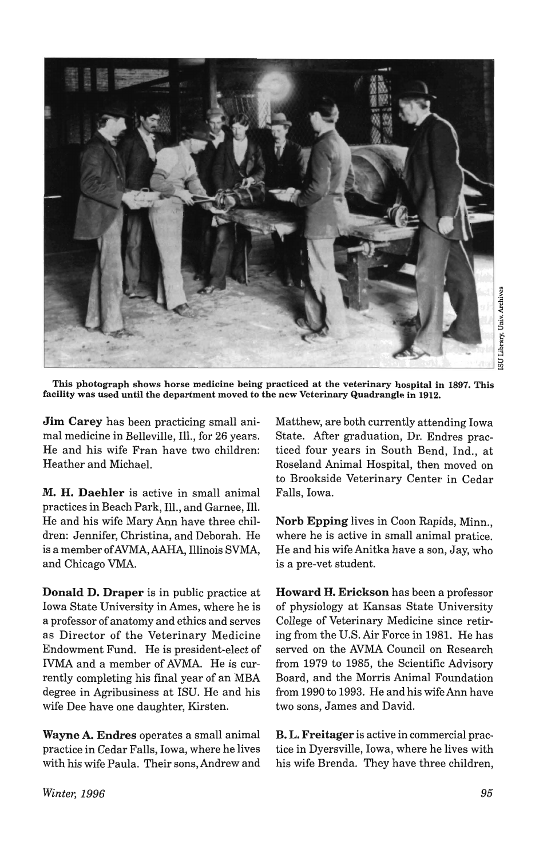

This photograph shows horse medicine being practiced at the veterinary hospital in 1897. This facility was used until the department moved to the new Veterinary Quadrangle in 1912.

Jim Carey has been practicing small animal medicine in Belleville, Ill., for 26 years. He and his wife Fran have two children: Heather and Michael.

M. H. Daehler is active in small animal practices in Beach Park, Ill., and Garnee, Ill. He and his wife Mary Ann have three children: Jennifer, Christina, and Deborah. He is a member ofAVMA,AAHA, Illinois SVMA, and Chicago VMA.

Donald D. Draper is in public practice at Iowa State University in Ames, where he is a professor of anatomy and ethics and serves as Director of the Veterinary Medicine Endowment Fund. He is president-elect of IVMA and a member of AVMA. He is currently completing his final year of an MBA degree in Agribusiness at ISU. He and his wife Dee have one daughter, Kirsten.

Wayne A. Endres operates a small animal practice in Cedar Falls, Iowa, where he lives with his wife Paula. Their sons, Andrew and Matthew, are both currently attending Iowa State. After graduation, Dr. Endres practiced four years in South Bend, Ind., at Roseland Animal Hospital, then moved on to Brookside Veterinary Center in Cedar Falls, Iowa.

Norb Epping lives in Coon Rapids, Minn., where he is active in small animal pratice. He and his wife Anitka have a son, Jay, who is a pre-vet student.

Howard H. Erickson has been a professor of physiology at Kansas State University College of Veterinary Medicine since retiring from the U.S. Air Force in 1981. He has served on the AVMA Council on Research from 1979 to 1985, the Scientific Advisory Board, and the Morris Animal Foundation from 1990 to 1993. He and his wife Ann have two sons, James and David.

B. L. Freitager is active in commercial practice in Dyersville, Iowa, where he lives with his wife Brenda. They have three children,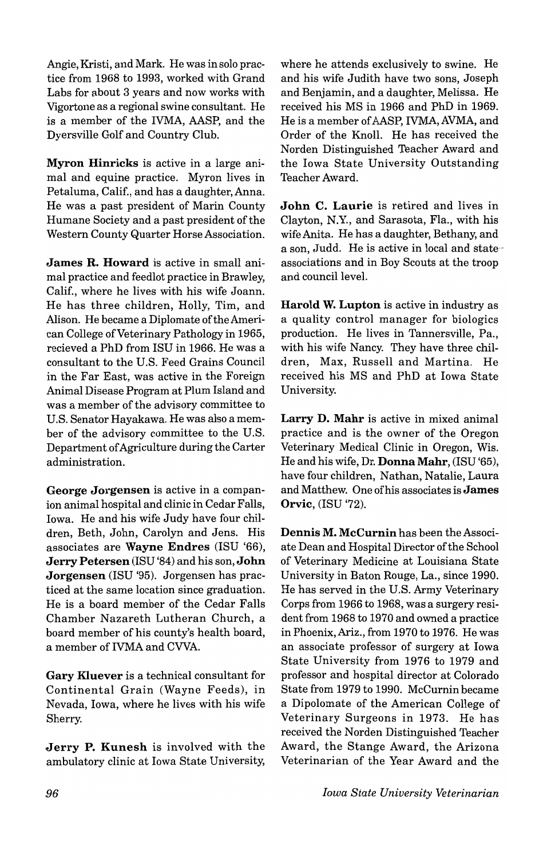Angie, Kristi, and Mark. He was in solo practice from 1968 to 1993, worked with Grand Labs for about 3 years and now works with Vigortone as a regional swine consultant. He is a member of the IVMA, AASP, and the Dyersville Golf and Country Club.

Myron Hinricks is active in a large animal and equine practice. Myron lives in Petaluma, Calif., and has a daughter, Anna. He was a past president of Marin County Humane Society and a past president of the Western County Quarter Horse Association.

James R. Howard is active in small animal practice and feedlot practice in Brawley, Calif., where he lives with his wife Joann. He has three children, Holly, Tim, and Alison. He became a Diplomate of the American College of Veterinary Pathology in 1965, recieved a PhD from ISU in 1966. He was a consultant to the U.S. Feed Grains Council in the Far East, was active in the Foreign Animal Disease Program at Plum Island and was a member of the advisory committee to U.S. Senator Hayakawa. He was also a member of the advisory committee to the U.S. Department of Agriculture during the Carter administration.

George Jorgensen is active in a companion animal hospital and clinic in Cedar Falls, Iowa. He and his wife Judy have four children, Beth, John, Carolyn and Jens. His associates are Wayne Endres (lSU '66), Jerry Petersen (lSU '84) and his son, John Jorgensen (ISU '95). Jorgensen has practiced at the same location since graduation. He is a board member of the Cedar Falls Chamber Nazareth Lutheran Church, a board member of his county's health board, a member of IVMA and CVVA.

Gary Kluever is a technical consultant for Continental Grain (Wayne Feeds), in Nevada, Iowa, where he lives with his wife Sherry.

Jerry P. Kunesh is involved with the ambulatory clinic at Iowa State University, where he attends exclusively to swine. He and his wife Judith have two sons, Joseph and Benjamin, and a daughter, Melissa. He received his MS in 1966 and PhD in 1969. He is a member of AASP, IVMA, AVMA, and Order of the Knoll. He has received the Norden Distinguished Teacher Award and the Iowa State University Outstanding Teacher Award.

John C. Laurie is retired and lives in Clayton, N.Y., and Sarasota, Fla., with his wife Anita. He has a daughter, Bethany, and a son, Judd. He is active in local and state- associations and in Boy Scouts at the troop and council level.

Harold W. Lupton is active in industry as a quality control manager for biologics production. He lives in Tannersville, Pa., with his wife Nancy. They have three children, Max, Russell and Martina. He received his MS and PhD at Iowa State University.

Larry D. Mahr is active in mixed animal practice and is the owner of the Oregon Veterinary Medical Clinic in Oregon, Wis. He and his wife, Dr. Donna Mahr, (lSU '65), have four children, Nathan, Natalie, Laura and Matthew. One of his associates is James Orvic, (ISU '72).

Dennis M. McCurnin has been the Associate Dean and Hospital Director of the School of Veterinary Medicine at Louisiana State University in Baton Rouge, La., since 1990. He has served in the U.S. Army Veterinary Corps from 1966 to 1968, was a surgery resident from 1968 to 1970 and owned a practice in Phoenix, Ariz., from 1970 to 1976. He was an associate professor of surgery at Iowa State University from 1976 to 1979 and professor and hospital director at Colorado State from 1979 to 1990. McCurnin became a Dipolomate of the American College of Veterinary Surgeons in 1973. He has received the Norden Distinguished Teacher Award, the Stange Award, the Arizona Veterinarian of the Year Award and the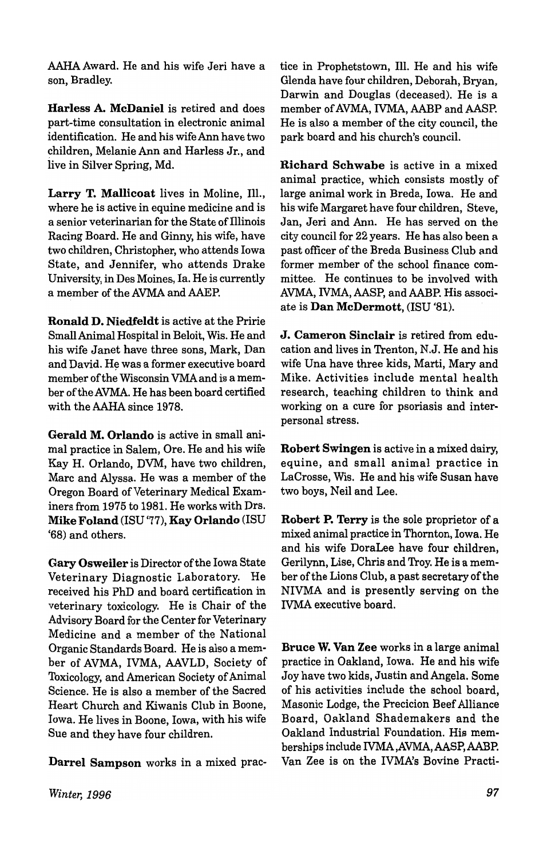AAHA Award. He and his wife Jeri have a son, Bradley.

Harless A. McDaniel is retired and does part-time consultation in electronic animal identification. He and his wife Ann have two children, Melanie Ann and Harless Jr., and live in Silver Spring, Md.

Larry T. Mallicoat lives in Moline, Ill., where he is active in equine medicine and is a senior veterinarian for the State of Illinois Racing Board. He and Ginny, his wife, have two children, Christopher, who attends Iowa State, and Jennifer, who attends Drake University, in Des Moines, Ia. He is currently a member of the AVMA and AAEP.

Ronald D. Niedfeldt is active at the Pririe Small Animal Hospital in Beloit, Wis. He and his wife Janet have three sons, Mark, Dan and David. He was a former executive board member of the Wisconsin VMAand is a member oftheAVMA. He has been board certified with the AAHA since 1978.

Gerald M. Orlando is active in small animal practice in Salem, Ore. He and his wife Kay H. Orlando, DVM, have two children, Marc and Alyssa. He was a member of the Oregon Board of Veterinary Medical Examiners from 1975 to 1981. He works with Drs. Mike Foland (ISU '77), Kay Orlando (ISU '68) and others.

Gary Osweiler is Director of the Iowa State Veterinary Diagnostic Laboratory. He received his PhD and board certification in veterinary toxicology. He is Chair of the Advisory Board for the Center for Veterinary Medicine and a member of the National Organic Standards Board. He is also a member of AVMA, IVMA, AAVLD, Society of Toxicology, and American Society of Animal Science. He is also a member of the Sacred Heart Church and Kiwanis Club in Boone, Iowa. He lives in Boone, Iowa, with his wife Sue and they have four children.

Darrel Sampson works in a mixed prac-

tice in Prophetstown, Ill. He and his wife Glenda have four children, Deborah, Bryan, Darwin and Douglas (deceased). He is a member of AVMA, IVMA, AABP and AASP. He is also a member of the city council, the park board and his church's council.

Richard Schwabe is active in a mixed animal practice, which consists mostly of large animal work in Breda, Iowa. He and his wife Margaret have four children, Steve, Jan, Jeri and Ann. He has served on the city council for 22 years. He has also been a past officer of the Breda Business Club and former member of the school finance committee. He continues to be involved with AVMA, IVMA, AASP, and AABP. His associate is Dan McDermott, (ISU '81).

J. Cameron Sinclair is retired from education and lives in Trenton, N.J. He and his wife Una have three kids, Marti, Mary and Mike. Activities include mental health research, teaching children to think and working on a cure for psoriasis and interpersonal stress.

Robert Swingen is active in a mixed dairy, equine, and small animal practice in LaCrosse, Wis. He and his wife Susan have two boys, Neil and Lee.

Robert P. Terry is the sole proprietor of a mixed animal practice in Thornton, Iowa. He and his wife DoraLee have four children, Gerilynn, Lise, Chris and Troy. He is a member of the Lions Club, a past secretary of the NIVMA and is presently serving on the IVMA executive board.

Bruce W. Van Zee works in a large animal practice in Oakland, Iowa. He and his wife Joy have two kids, Justin and Angela. Some of his activities include the school board, Masonic Lodge, the Precicion Beef Alliance Board, Oakland Shademakers and the Oakland Industrial Foundation. His memberships include IVMA ,AVMA, AASP, AABP. Van Zee is on the IVMA's Bovine Practi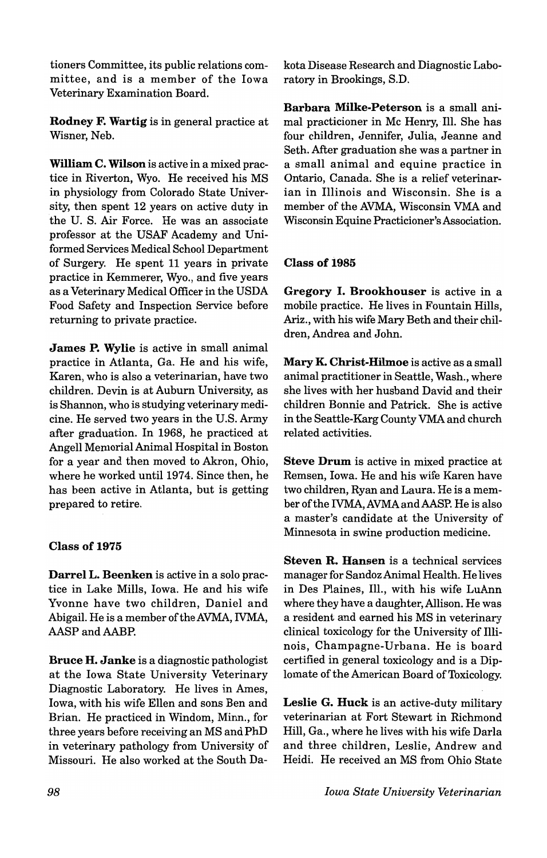tioners Committee, its public relations committee, and is a member of the Iowa Veterinary Examination Board.

Rodney F. Wartig is in general practice at Wisner, Neb.

William C. Wilson is active in a mixed practice in Riverton, Wyo. He received his MS in physiology from Colorado State University, then spent 12 years on active duty in the U. S. Air Force. He was an associate professor at the USAF Academy and Uniformed Services Medical School Department of Surgery. He spent 11 years in private practice in Kemmerer, Wyo., and five years as a Veterinary Medical Officer in the USDA Food Safety and Inspection Service before returning to private practice.

James P. Wylie is active in small animal practice in Atlanta, Ga. He and his wife, Karen, who is also a veterinarian, have two children. Devin is at Auburn University, as is Shannon, who is studying veterinary medicine. He served two years in the U.S. Army after graduation. In 1968, he practiced at Angell Memorial Animal Hospital in Boston for a year and then moved to Akron, Ohio, where he worked until 1974. Since then, he has been active in Atlanta, but is getting prepared to retire.

# Class of 1975

Darrel L. Beenken is active in a solo practice in Lake Mills, Iowa. He and his wife Yvonne have two children, Daniel and Abigail. He is a member of the AVMA, IVMA, AASP and AABP.

Bruce H. Janke is a diagnostic pathologist at the Iowa State University Veterinary Diagnostic Laboratory. He lives in Ames, Iowa, with his wife Ellen and sons Ben and Brian. He practiced in Windom, Minn., for three years before receiving an MS and PhD in veterinary pathology from University of Missouri. He also worked at the South Dakota Disease Research and Diagnostic Laboratory in Brookings, S.D.

Barbara Milke-Peterson is a small animal practicioner in Mc Henry, Ill. She has four children, Jennifer, Julia, Jeanne and Seth. After graduation she was a partner in a small animal and equine practice in Ontario, Canada. She is a relief veterinarian in Illinois and Wisconsin. She is a member of the AVMA, Wisconsin VMA and Wisconsin Equine Practicioner's Association.

## Class of i985

Gregory I. Brookhouser is active in a mobile practice. He lives in Fountain Hills, Ariz., with his wife Mary Beth and their children, Andrea and John.

Mary K. Christ-Hilmoe is active as a small animal practitioner in Seattle, Wash., where she lives with her husband David and their children Bonnie and Patrick. She is active in the Seattle-Karg County VMA and church related activities.

Steve Drum is active in mixed practice at Remsen, Iowa. He and his wife Karen have two children, Ryan and Laura. He is a member of the IVMA, AVMAandAASP. He is also a master's candidate at the University of Minnesota in swine production medicine.

Steven R. Hansen is a technical services manager for Sandoz Animal Health. He lives in Des Plaines, Ill., with his wife LuAnn where they have a daughter, Allison. He was a resident and earned his MS in veterinary clinical toxicology for the University of Illinois, Champagne-Urbana. He is board certified in general toxicology and is a Diplomate of the American Board of Toxicology.

Leslie G. Huck is an active-duty military veterinarian at Fort Stewart in Richmond Hill, Ga., where he lives with his wife Darla and three children, Leslie, Andrew and Heidi. He received an MS from Ohio State